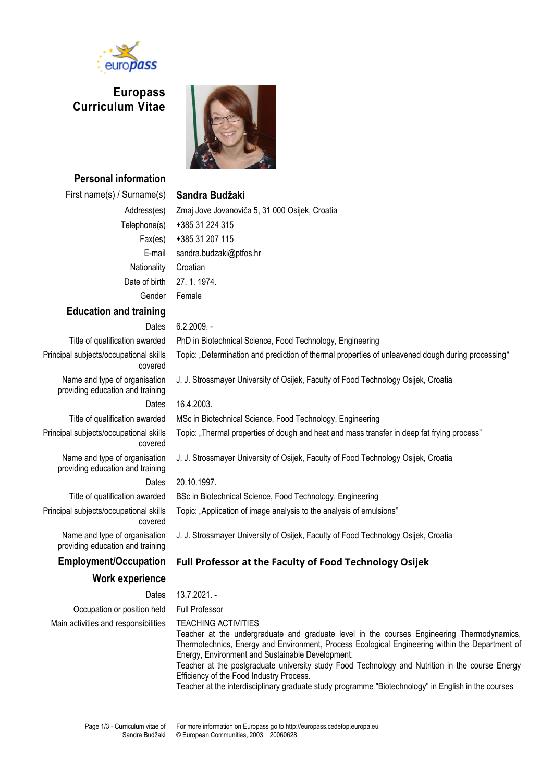

**Europass Curriculum Vitae**



**Personal information** First name(s) / Surname(s) **Sandra Budžaki** Address(es) Zmaj Jove Jovanoviča 5, 31 000 Osijek, Croatia Telephone(s)  $|+38531224315$ Fax(es) +385 31 207 115 E-mail sandra.budzaki@ptfos.hr Nationality | Croatian Date of birth 27, 1, 1974. Gender Female **Education and training** Dates 6.2.2009. -Title of qualification awarded PhD in Biotechnical Science, Food Technology, Engineering Principal subjects/occupational skills covered Topic: "Determination and prediction of thermal properties of unleavened dough during processing" Name and type of organisation providing education and training J. J. Strossmayer University of Osijek, Faculty of Food Technology Osijek, Croatia Dates 16.4.2003. Title of qualification awarded | MSc in Biotechnical Science, Food Technology, Engineering Principal subjects/occupational skills covered Topic: "Thermal properties of dough and heat and mass transfer in deep fat frying process" Name and type of organisation providing education and training J. J. Strossmayer University of Osijek, Faculty of Food Technology Osijek, Croatia Dates 20.10.1997. Title of qualification awarded | BSc in Biotechnical Science, Food Technology, Engineering Principal subjects/occupational skills covered Topic: "Application of image analysis to the analysis of emulsions" Name and type of organisation providing education and training J. J. Strossmayer University of Osijek, Faculty of Food Technology Osijek, Croatia **Employment/Occupation Full Professor at the Faculty of Food Technology Osijek Work experience** Dates 13.7.2021. -Occupation or position held Full Professor Main activities and responsibilities | TEACHING ACTIVITIES Teacher at the undergraduate and graduate level in the courses Engineering Thermodynamics, Thermotechnics, Energy and Environment, Process Ecological Engineering within the Department of Energy, Environment and Sustainable Development. Teacher at the postgraduate university study Food Technology and Nutrition in the course Energy Efficiency of the Food Industry Process.

Teacher at the interdisciplinary graduate study programme "Biotechnology" in English in the courses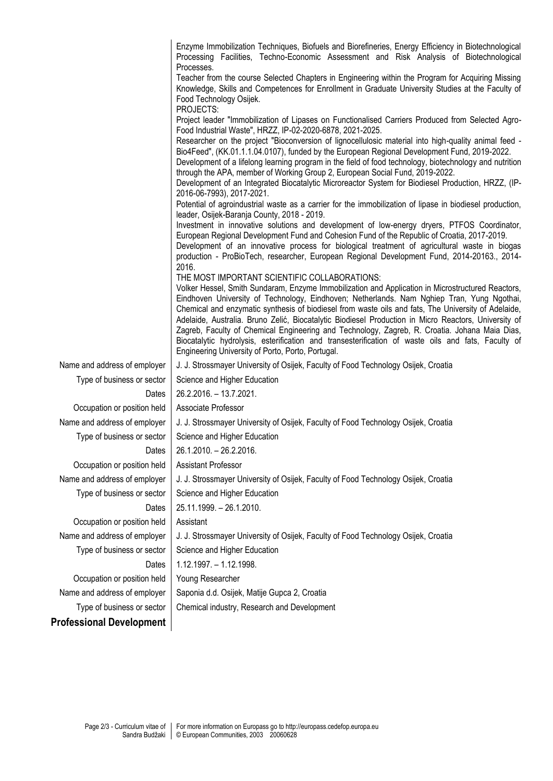|                                 | Enzyme Immobilization Techniques, Biofuels and Biorefineries, Energy Efficiency in Biotechnological<br>Processing Facilities, Techno-Economic Assessment and Risk Analysis of Biotechnological<br>Processes.                                                                                                                                                                                                                                                                                                                                                                                                                                                                                                                         |  |  |  |  |  |  |  |
|---------------------------------|--------------------------------------------------------------------------------------------------------------------------------------------------------------------------------------------------------------------------------------------------------------------------------------------------------------------------------------------------------------------------------------------------------------------------------------------------------------------------------------------------------------------------------------------------------------------------------------------------------------------------------------------------------------------------------------------------------------------------------------|--|--|--|--|--|--|--|
|                                 | Teacher from the course Selected Chapters in Engineering within the Program for Acquiring Missing<br>Knowledge, Skills and Competences for Enrollment in Graduate University Studies at the Faculty of<br>Food Technology Osijek.                                                                                                                                                                                                                                                                                                                                                                                                                                                                                                    |  |  |  |  |  |  |  |
|                                 | PROJECTS:                                                                                                                                                                                                                                                                                                                                                                                                                                                                                                                                                                                                                                                                                                                            |  |  |  |  |  |  |  |
|                                 | Project leader "Immobilization of Lipases on Functionalised Carriers Produced from Selected Agro-<br>Food Industrial Waste", HRZZ, IP-02-2020-6878, 2021-2025.                                                                                                                                                                                                                                                                                                                                                                                                                                                                                                                                                                       |  |  |  |  |  |  |  |
|                                 | Researcher on the project "Bioconversion of lignocellulosic material into high-quality animal feed -<br>Bio4Feed", (KK.01.1.1.04.0107), funded by the European Regional Development Fund, 2019-2022.<br>Development of a lifelong learning program in the field of food technology, biotechnology and nutrition<br>through the APA, member of Working Group 2, European Social Fund, 2019-2022.                                                                                                                                                                                                                                                                                                                                      |  |  |  |  |  |  |  |
|                                 | Development of an Integrated Biocatalytic Microreactor System for Biodiesel Production, HRZZ, (IP-<br>2016-06-7993), 2017-2021.                                                                                                                                                                                                                                                                                                                                                                                                                                                                                                                                                                                                      |  |  |  |  |  |  |  |
|                                 | Potential of agroindustrial waste as a carrier for the immobilization of lipase in biodiesel production,<br>leader, Osijek-Baranja County, 2018 - 2019.                                                                                                                                                                                                                                                                                                                                                                                                                                                                                                                                                                              |  |  |  |  |  |  |  |
|                                 | Investment in innovative solutions and development of low-energy dryers, PTFOS Coordinator,<br>European Regional Development Fund and Cohesion Fund of the Republic of Croatia, 2017-2019.<br>Development of an innovative process for biological treatment of agricultural waste in biogas<br>production - ProBioTech, researcher, European Regional Development Fund, 2014-20163., 2014-                                                                                                                                                                                                                                                                                                                                           |  |  |  |  |  |  |  |
|                                 | 2016.<br>THE MOST IMPORTANT SCIENTIFIC COLLABORATIONS:<br>Volker Hessel, Smith Sundaram, Enzyme Immobilization and Application in Microstructured Reactors,<br>Eindhoven University of Technology, Eindhoven; Netherlands. Nam Nghiep Tran, Yung Ngothai,<br>Chemical and enzymatic synthesis of biodiesel from waste oils and fats, The University of Adelaide,<br>Adelaide, Australia. Bruno Zelić, Biocatalytic Biodiesel Production in Micro Reactors, University of<br>Zagreb, Faculty of Chemical Engineering and Technology, Zagreb, R. Croatia. Johana Maia Dias,<br>Biocatalytic hydrolysis, esterification and transesterification of waste oils and fats, Faculty of<br>Engineering University of Porto, Porto, Portugal. |  |  |  |  |  |  |  |
| Name and address of employer    | J. J. Strossmayer University of Osijek, Faculty of Food Technology Osijek, Croatia                                                                                                                                                                                                                                                                                                                                                                                                                                                                                                                                                                                                                                                   |  |  |  |  |  |  |  |
| Type of business or sector      | Science and Higher Education                                                                                                                                                                                                                                                                                                                                                                                                                                                                                                                                                                                                                                                                                                         |  |  |  |  |  |  |  |
| Dates                           | 26.2.2016. - 13.7.2021.                                                                                                                                                                                                                                                                                                                                                                                                                                                                                                                                                                                                                                                                                                              |  |  |  |  |  |  |  |
| Occupation or position held     | Associate Professor                                                                                                                                                                                                                                                                                                                                                                                                                                                                                                                                                                                                                                                                                                                  |  |  |  |  |  |  |  |
| Name and address of employer    | J. J. Strossmayer University of Osijek, Faculty of Food Technology Osijek, Croatia                                                                                                                                                                                                                                                                                                                                                                                                                                                                                                                                                                                                                                                   |  |  |  |  |  |  |  |
| Type of business or sector      | Science and Higher Education                                                                                                                                                                                                                                                                                                                                                                                                                                                                                                                                                                                                                                                                                                         |  |  |  |  |  |  |  |
| Dates                           | 26.1.2010. - 26.2.2016.                                                                                                                                                                                                                                                                                                                                                                                                                                                                                                                                                                                                                                                                                                              |  |  |  |  |  |  |  |
| Occupation or position held     | <b>Assistant Professor</b>                                                                                                                                                                                                                                                                                                                                                                                                                                                                                                                                                                                                                                                                                                           |  |  |  |  |  |  |  |
| Name and address of employer    | J. J. Strossmayer University of Osijek, Faculty of Food Technology Osijek, Croatia                                                                                                                                                                                                                                                                                                                                                                                                                                                                                                                                                                                                                                                   |  |  |  |  |  |  |  |
| Type of business or sector      | Science and Higher Education                                                                                                                                                                                                                                                                                                                                                                                                                                                                                                                                                                                                                                                                                                         |  |  |  |  |  |  |  |
| Dates                           | 25.11.1999. - 26.1.2010.                                                                                                                                                                                                                                                                                                                                                                                                                                                                                                                                                                                                                                                                                                             |  |  |  |  |  |  |  |
| Occupation or position held     | Assistant                                                                                                                                                                                                                                                                                                                                                                                                                                                                                                                                                                                                                                                                                                                            |  |  |  |  |  |  |  |
| Name and address of employer    | J. J. Strossmayer University of Osijek, Faculty of Food Technology Osijek, Croatia                                                                                                                                                                                                                                                                                                                                                                                                                                                                                                                                                                                                                                                   |  |  |  |  |  |  |  |
| Type of business or sector      | Science and Higher Education                                                                                                                                                                                                                                                                                                                                                                                                                                                                                                                                                                                                                                                                                                         |  |  |  |  |  |  |  |
| Dates                           | 1.12.1997. - 1.12.1998.                                                                                                                                                                                                                                                                                                                                                                                                                                                                                                                                                                                                                                                                                                              |  |  |  |  |  |  |  |
| Occupation or position held     | Young Researcher                                                                                                                                                                                                                                                                                                                                                                                                                                                                                                                                                                                                                                                                                                                     |  |  |  |  |  |  |  |
| Name and address of employer    | Saponia d.d. Osijek, Matije Gupca 2, Croatia                                                                                                                                                                                                                                                                                                                                                                                                                                                                                                                                                                                                                                                                                         |  |  |  |  |  |  |  |
| Type of business or sector      | Chemical industry, Research and Development                                                                                                                                                                                                                                                                                                                                                                                                                                                                                                                                                                                                                                                                                          |  |  |  |  |  |  |  |
| <b>Professional Development</b> |                                                                                                                                                                                                                                                                                                                                                                                                                                                                                                                                                                                                                                                                                                                                      |  |  |  |  |  |  |  |